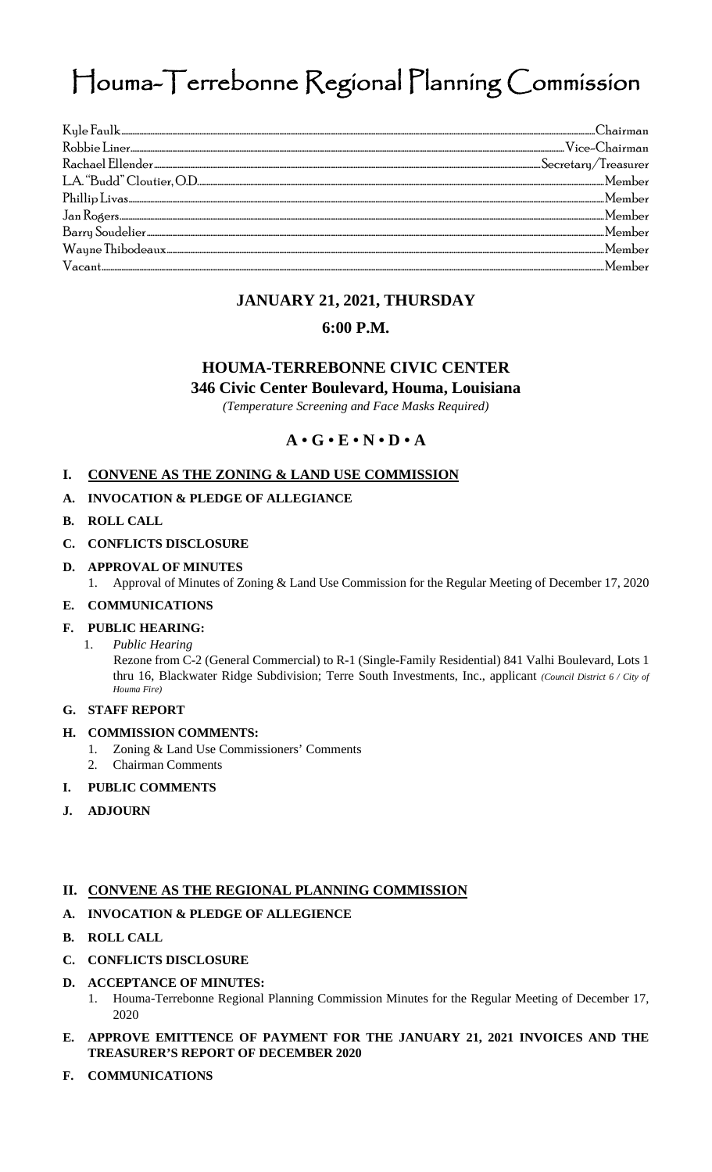# Houma-Terrebonne Regional Planning Commission

| $\rm{Vacant_{\tiny{>}}}.$ $\rm{wacant_{\tiny{>}}}.$ $\rm{Member}$ |  |
|-------------------------------------------------------------------|--|

## **JANUARY 21, 2021, THURSDAY**

### **6:00 P.M.**

# **HOUMA-TERREBONNE CIVIC CENTER**

**346 Civic Center Boulevard, Houma, Louisiana**

*(Temperature Screening and Face Masks Required)* 

**A • G • E • N • D • A** 

#### **I. CONVENE AS THE ZONING & LAND USE COMMISSION**

#### **A. INVOCATION & PLEDGE OF ALLEGIANCE**

#### **B. ROLL CALL**

- **C. CONFLICTS DISCLOSURE**
- **D. APPROVAL OF MINUTES**
	- 1. Approval of Minutes of Zoning & Land Use Commission for the Regular Meeting of December 17, 2020
- **E. COMMUNICATIONS**

#### **F. PUBLIC HEARING:**

1. *Public Hearing*

Rezone from C-2 (General Commercial) to R-1 (Single-Family Residential) 841 Valhi Boulevard, Lots 1 thru 16, Blackwater Ridge Subdivision; Terre South Investments, Inc., applicant *(Council District 6 / City of Houma Fire)*

# **G. STAFF REPORT**

#### **H. COMMISSION COMMENTS:**

- 1. Zoning & Land Use Commissioners' Comments
- 2. Chairman Comments

#### **I. PUBLIC COMMENTS**

**J. ADJOURN**

#### **II. CONVENE AS THE REGIONAL PLANNING COMMISSION**

#### **A. INVOCATION & PLEDGE OF ALLEGIENCE**

- **B. ROLL CALL**
- **C. CONFLICTS DISCLOSURE**
- **D. ACCEPTANCE OF MINUTES:**
	- 1. Houma-Terrebonne Regional Planning Commission Minutes for the Regular Meeting of December 17, 2020
- **E. APPROVE EMITTENCE OF PAYMENT FOR THE JANUARY 21, 2021 INVOICES AND THE TREASURER'S REPORT OF DECEMBER 2020**
- **F. COMMUNICATIONS**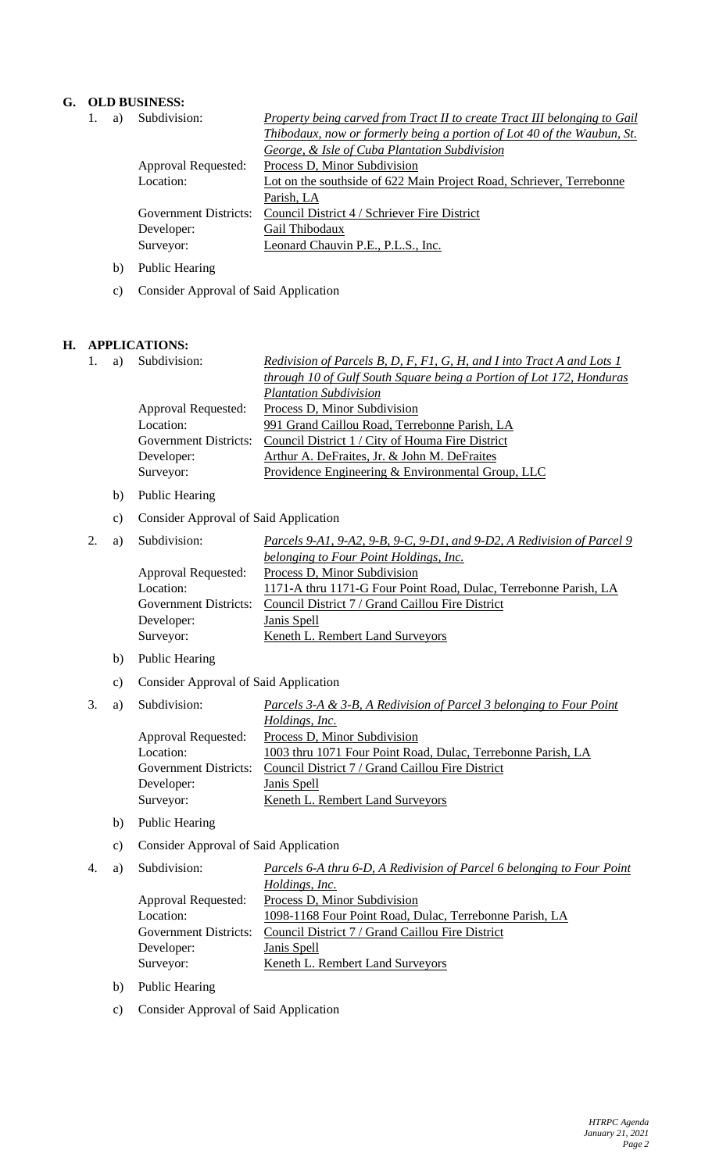#### **G. OLD BUSINESS:**

|  | a) | Subdivision:               | <b>Property being carved from Tract II to create Tract III belonging to Gail</b> |  |
|--|----|----------------------------|----------------------------------------------------------------------------------|--|
|  |    |                            | Thibodaux, now or formerly being a portion of Lot 40 of the Waubun, St.          |  |
|  |    |                            | George, & Isle of Cuba Plantation Subdivision                                    |  |
|  |    | <b>Approval Requested:</b> | Process D, Minor Subdivision                                                     |  |
|  |    | Location:                  | Lot on the southside of 622 Main Project Road, Schriever, Terrebonne             |  |
|  |    |                            | Parish, LA                                                                       |  |
|  |    | Government Districts:      | Council District 4 / Schriever Fire District                                     |  |
|  |    | Developer:                 | Gail Thibodaux                                                                   |  |
|  |    | Surveyor:                  | Leonard Chauvin P.E., P.L.S., Inc.                                               |  |
|  |    |                            |                                                                                  |  |

- b) Public Hearing
- c) Consider Approval of Said Application

#### **H. APPLICATIONS:**

|  | Subdivision:          | Redivision of Parcels B, D, F, F1, G, H, and I into Tract A and Lots 1 |
|--|-----------------------|------------------------------------------------------------------------|
|  |                       | through 10 of Gulf South Square being a Portion of Lot 172, Honduras   |
|  |                       | <b>Plantation Subdivision</b>                                          |
|  | Approval Requested:   | Process D, Minor Subdivision                                           |
|  | Location:             | 991 Grand Caillou Road, Terrebonne Parish, LA                          |
|  | Government Districts: | Council District 1 / City of Houma Fire District                       |
|  | Developer:            | Arthur A. DeFraites, Jr. & John M. DeFraites                           |
|  | Surveyor:             | Providence Engineering & Environmental Group, LLC                      |
|  |                       |                                                                        |

- b) Public Hearing
- c) Consider Approval of Said Application

|  | Subdivision:          | Parcels 9-A1, 9-A2, 9-B, 9-C, 9-D1, and 9-D2, A Redivision of Parcel 9 |
|--|-----------------------|------------------------------------------------------------------------|
|  |                       | belonging to Four Point Holdings, Inc.                                 |
|  | Approval Requested:   | Process D, Minor Subdivision                                           |
|  | Location:             | 1171-A thru 1171-G Four Point Road, Dulac, Terrebonne Parish, LA       |
|  | Government Districts: | Council District 7 / Grand Caillou Fire District                       |
|  | Developer:            | Janis Spell                                                            |
|  | Surveyor:             | Keneth L. Rembert Land Surveyors                                       |

- b) Public Hearing
- c) Consider Approval of Said Application
- 

| 3. | a) | Subdivision:          | Parcels 3-A & 3-B, A Redivision of Parcel 3 belonging to Four Point |
|----|----|-----------------------|---------------------------------------------------------------------|
|    |    |                       | Holdings, Inc.                                                      |
|    |    | Approval Requested:   | Process D, Minor Subdivision                                        |
|    |    | Location:             | 1003 thru 1071 Four Point Road, Dulac, Terrebonne Parish, LA        |
|    |    | Government Districts: | Council District 7 / Grand Caillou Fire District                    |
|    |    | Developer:            | Janis Spell                                                         |
|    |    | Surveyor:             | Keneth L. Rembert Land Surveyors                                    |
|    |    |                       |                                                                     |

- b) Public Hearing
- c) Consider Approval of Said Application

| Subdivision:<br><u>Parcels 6-A thru 6-D, A Redivision of Parcel 6 belonging to Four Point</u><br>4. |  |
|-----------------------------------------------------------------------------------------------------|--|
| Holdings, Inc.                                                                                      |  |
| Process D, Minor Subdivision<br>Approval Requested:                                                 |  |
| Location:<br>1098-1168 Four Point Road, Dulac, Terrebonne Parish, LA                                |  |
| Council District 7 / Grand Caillou Fire District<br><b>Government Districts:</b>                    |  |
| Janis Spell<br>Developer:                                                                           |  |
| Surveyor:<br>Keneth L. Rembert Land Surveyors                                                       |  |

- b) Public Hearing
- c) Consider Approval of Said Application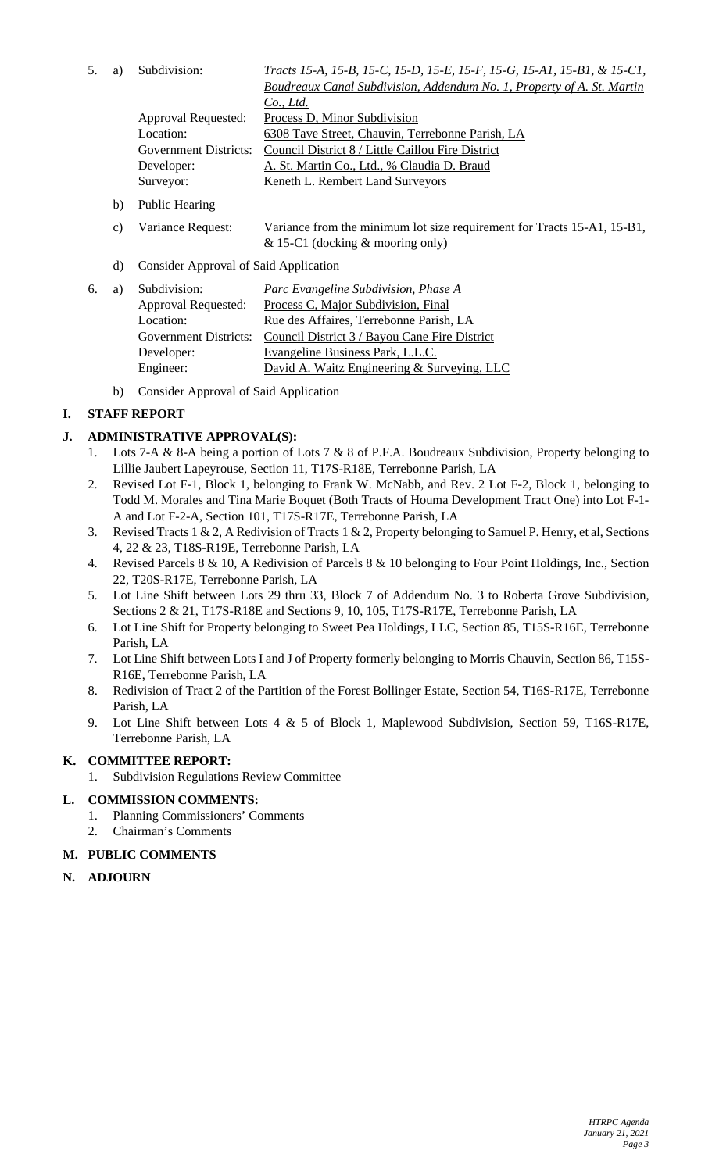5. a) Subdivision: *Tracts 15-A, 15-B, 15-C, 15-D, 15-E, 15-F, 15-G, 15-A1, 15-B1, & 15-C1,* 

|                       | Boudreaux Canal Subdivision, Addendum No. 1, Property of A. St. Martin |
|-----------------------|------------------------------------------------------------------------|
|                       | $Co$ , Ltd.                                                            |
| Approval Requested:   | Process D, Minor Subdivision                                           |
| Location:             | 6308 Tave Street, Chauvin, Terrebonne Parish, LA                       |
| Government Districts: | Council District 8 / Little Caillou Fire District                      |
| Developer:            | A. St. Martin Co., Ltd., % Claudia D. Braud                            |
| Surveyor:             | Keneth L. Rembert Land Surveyors                                       |
|                       |                                                                        |

- b) Public Hearing
- c) Variance Request: Variance from the minimum lot size requirement for Tracts 15-A1, 15-B1, & 15-C1 (docking & mooring only)
- d) Consider Approval of Said Application

| 6. | a) | Subdivision:                 | Parc Evangeline Subdivision, Phase A          |
|----|----|------------------------------|-----------------------------------------------|
|    |    | Approval Requested:          | Process C, Major Subdivision, Final           |
|    |    | Location:                    | Rue des Affaires, Terrebonne Parish, LA       |
|    |    | <b>Government Districts:</b> | Council District 3 / Bayou Cane Fire District |
|    |    | Developer:                   | Evangeline Business Park, L.L.C.              |
|    |    | Engineer:                    | David A. Waitz Engineering & Surveying, LLC   |

b) Consider Approval of Said Application

#### **I. STAFF REPORT**

#### **J. ADMINISTRATIVE APPROVAL(S):**

- 1. Lots 7-A & 8-A being a portion of Lots 7 & 8 of P.F.A. Boudreaux Subdivision, Property belonging to Lillie Jaubert Lapeyrouse, Section 11, T17S-R18E, Terrebonne Parish, LA
- 2. Revised Lot F-1, Block 1, belonging to Frank W. McNabb, and Rev. 2 Lot F-2, Block 1, belonging to Todd M. Morales and Tina Marie Boquet (Both Tracts of Houma Development Tract One) into Lot F-1- A and Lot F-2-A, Section 101, T17S-R17E, Terrebonne Parish, LA
- 3. Revised Tracts 1 & 2, A Redivision of Tracts 1 & 2, Property belonging to Samuel P. Henry, et al, Sections 4, 22 & 23, T18S-R19E, Terrebonne Parish, LA
- 4. Revised Parcels 8 & 10, A Redivision of Parcels 8 & 10 belonging to Four Point Holdings, Inc., Section 22, T20S-R17E, Terrebonne Parish, LA
- 5. Lot Line Shift between Lots 29 thru 33, Block 7 of Addendum No. 3 to Roberta Grove Subdivision, Sections 2 & 21, T17S-R18E and Sections 9, 10, 105, T17S-R17E, Terrebonne Parish, LA
- 6. Lot Line Shift for Property belonging to Sweet Pea Holdings, LLC, Section 85, T15S-R16E, Terrebonne Parish, LA
- 7. Lot Line Shift between Lots I and J of Property formerly belonging to Morris Chauvin, Section 86, T15S-R16E, Terrebonne Parish, LA
- 8. Redivision of Tract 2 of the Partition of the Forest Bollinger Estate, Section 54, T16S-R17E, Terrebonne Parish, LA
- 9. Lot Line Shift between Lots 4 & 5 of Block 1, Maplewood Subdivision, Section 59, T16S-R17E, Terrebonne Parish, LA

### **K. COMMITTEE REPORT:**

1. Subdivision Regulations Review Committee

#### **L. COMMISSION COMMENTS:**

- 1. Planning Commissioners' Comments
- 2. Chairman's Comments

#### **M. PUBLIC COMMENTS**

**N. ADJOURN**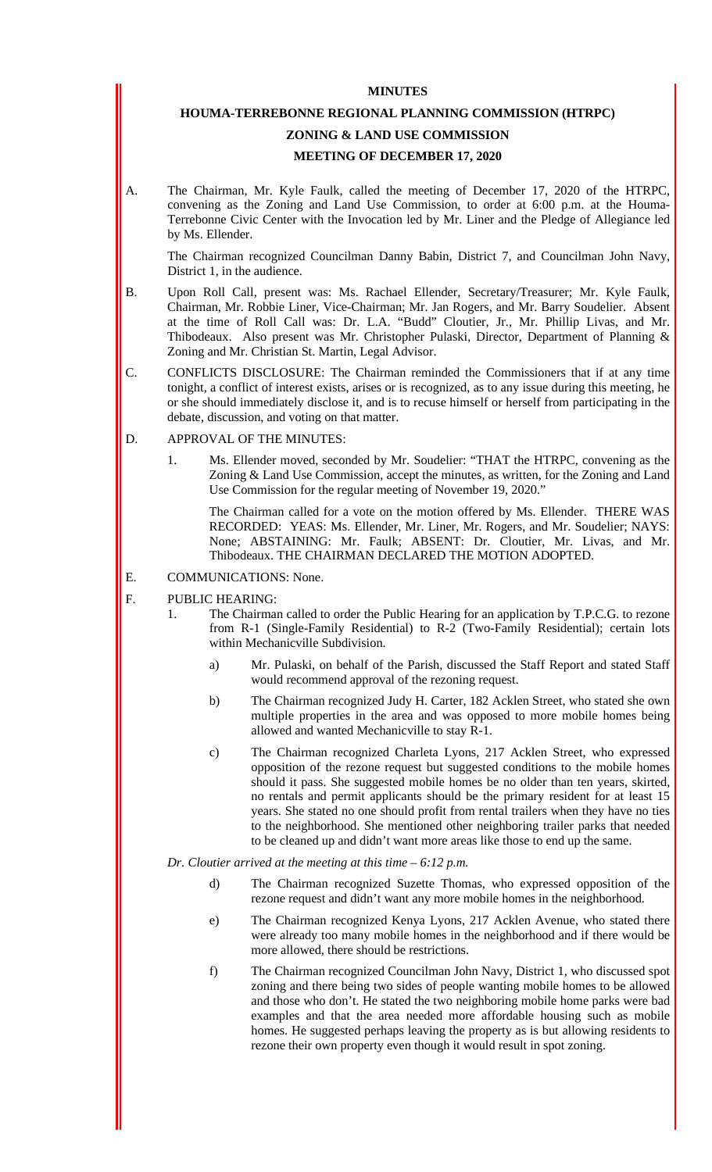#### **MINUTES**

#### **HOUMA-TERREBONNE REGIONAL PLANNING COMMISSION (HTRPC)**

# **ZONING & LAND USE COMMISSION**

#### **MEETING OF DECEMBER 17, 2020**

A. The Chairman, Mr. Kyle Faulk, called the meeting of December 17, 2020 of the HTRPC, convening as the Zoning and Land Use Commission, to order at 6:00 p.m. at the Houma-Terrebonne Civic Center with the Invocation led by Mr. Liner and the Pledge of Allegiance led by Ms. Ellender.

The Chairman recognized Councilman Danny Babin, District 7, and Councilman John Navy, District 1, in the audience.

- B. Upon Roll Call, present was: Ms. Rachael Ellender, Secretary/Treasurer; Mr. Kyle Faulk, Chairman, Mr. Robbie Liner, Vice-Chairman; Mr. Jan Rogers, and Mr. Barry Soudelier. Absent at the time of Roll Call was: Dr. L.A. "Budd" Cloutier, Jr., Mr. Phillip Livas, and Mr. Thibodeaux. Also present was Mr. Christopher Pulaski, Director, Department of Planning & Zoning and Mr. Christian St. Martin, Legal Advisor.
- C. CONFLICTS DISCLOSURE: The Chairman reminded the Commissioners that if at any time tonight, a conflict of interest exists, arises or is recognized, as to any issue during this meeting, he or she should immediately disclose it, and is to recuse himself or herself from participating in the debate, discussion, and voting on that matter.
- D. APPROVAL OF THE MINUTES:
	- 1. Ms. Ellender moved, seconded by Mr. Soudelier: "THAT the HTRPC, convening as the Zoning & Land Use Commission, accept the minutes, as written, for the Zoning and Land Use Commission for the regular meeting of November 19, 2020."

The Chairman called for a vote on the motion offered by Ms. Ellender. THERE WAS RECORDED: YEAS: Ms. Ellender, Mr. Liner, Mr. Rogers, and Mr. Soudelier; NAYS: None; ABSTAINING: Mr. Faulk; ABSENT: Dr. Cloutier, Mr. Livas, and Mr. Thibodeaux. THE CHAIRMAN DECLARED THE MOTION ADOPTED.

- E. COMMUNICATIONS: None.
- F. PUBLIC HEARING:
	- 1. The Chairman called to order the Public Hearing for an application by T.P.C.G. to rezone from R-1 (Single-Family Residential) to R-2 (Two-Family Residential); certain lots within Mechanicville Subdivision.
		- a) Mr. Pulaski, on behalf of the Parish, discussed the Staff Report and stated Staff would recommend approval of the rezoning request.
		- b) The Chairman recognized Judy H. Carter, 182 Acklen Street, who stated she own multiple properties in the area and was opposed to more mobile homes being allowed and wanted Mechanicville to stay R-1.
		- c) The Chairman recognized Charleta Lyons, 217 Acklen Street, who expressed opposition of the rezone request but suggested conditions to the mobile homes should it pass. She suggested mobile homes be no older than ten years, skirted, no rentals and permit applicants should be the primary resident for at least 15 years. She stated no one should profit from rental trailers when they have no ties to the neighborhood. She mentioned other neighboring trailer parks that needed to be cleaned up and didn't want more areas like those to end up the same.

*Dr. Cloutier arrived at the meeting at this time – 6:12 p.m.*

- d) The Chairman recognized Suzette Thomas, who expressed opposition of the rezone request and didn't want any more mobile homes in the neighborhood.
- e) The Chairman recognized Kenya Lyons, 217 Acklen Avenue, who stated there were already too many mobile homes in the neighborhood and if there would be more allowed, there should be restrictions.
- f) The Chairman recognized Councilman John Navy, District 1, who discussed spot zoning and there being two sides of people wanting mobile homes to be allowed and those who don't. He stated the two neighboring mobile home parks were bad examples and that the area needed more affordable housing such as mobile homes. He suggested perhaps leaving the property as is but allowing residents to rezone their own property even though it would result in spot zoning.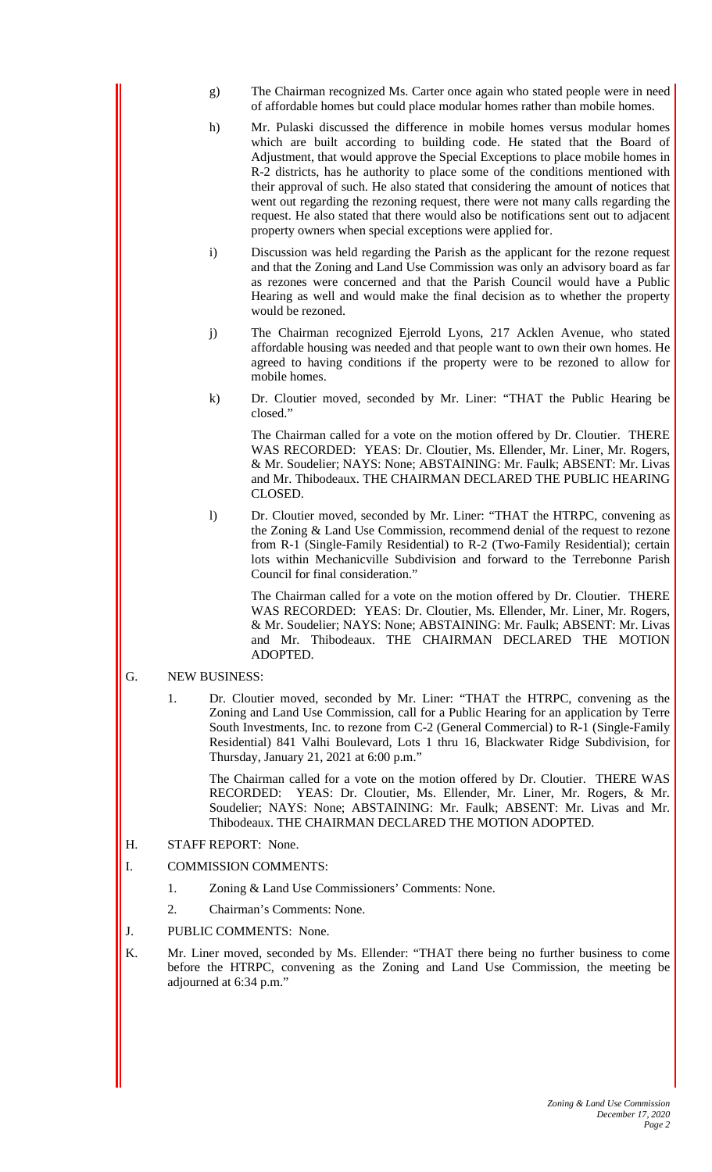- g) The Chairman recognized Ms. Carter once again who stated people were in need of affordable homes but could place modular homes rather than mobile homes.
- h) Mr. Pulaski discussed the difference in mobile homes versus modular homes which are built according to building code. He stated that the Board of Adjustment, that would approve the Special Exceptions to place mobile homes in R-2 districts, has he authority to place some of the conditions mentioned with their approval of such. He also stated that considering the amount of notices that went out regarding the rezoning request, there were not many calls regarding the request. He also stated that there would also be notifications sent out to adjacent property owners when special exceptions were applied for.
- i) Discussion was held regarding the Parish as the applicant for the rezone request and that the Zoning and Land Use Commission was only an advisory board as far as rezones were concerned and that the Parish Council would have a Public Hearing as well and would make the final decision as to whether the property would be rezoned.
- j) The Chairman recognized Ejerrold Lyons, 217 Acklen Avenue, who stated affordable housing was needed and that people want to own their own homes. He agreed to having conditions if the property were to be rezoned to allow for mobile homes.
- k) Dr. Cloutier moved, seconded by Mr. Liner: "THAT the Public Hearing be closed."

The Chairman called for a vote on the motion offered by Dr. Cloutier. THERE WAS RECORDED: YEAS: Dr. Cloutier, Ms. Ellender, Mr. Liner, Mr. Rogers, & Mr. Soudelier; NAYS: None; ABSTAINING: Mr. Faulk; ABSENT: Mr. Livas and Mr. Thibodeaux. THE CHAIRMAN DECLARED THE PUBLIC HEARING CLOSED.

l) Dr. Cloutier moved, seconded by Mr. Liner: "THAT the HTRPC, convening as the Zoning & Land Use Commission, recommend denial of the request to rezone from R-1 (Single-Family Residential) to R-2 (Two-Family Residential); certain lots within Mechanicville Subdivision and forward to the Terrebonne Parish Council for final consideration."

The Chairman called for a vote on the motion offered by Dr. Cloutier. THERE WAS RECORDED: YEAS: Dr. Cloutier, Ms. Ellender, Mr. Liner, Mr. Rogers, & Mr. Soudelier; NAYS: None; ABSTAINING: Mr. Faulk; ABSENT: Mr. Livas and Mr. Thibodeaux. THE CHAIRMAN DECLARED THE MOTION ADOPTED.

#### G. NEW BUSINESS:

1. Dr. Cloutier moved, seconded by Mr. Liner: "THAT the HTRPC, convening as the Zoning and Land Use Commission, call for a Public Hearing for an application by Terre South Investments, Inc. to rezone from C-2 (General Commercial) to R-1 (Single-Family Residential) 841 Valhi Boulevard, Lots 1 thru 16, Blackwater Ridge Subdivision, for Thursday, January 21, 2021 at 6:00 p.m."

The Chairman called for a vote on the motion offered by Dr. Cloutier. THERE WAS RECORDED: YEAS: Dr. Cloutier, Ms. Ellender, Mr. Liner, Mr. Rogers, & Mr. Soudelier; NAYS: None; ABSTAINING: Mr. Faulk; ABSENT: Mr. Livas and Mr. Thibodeaux. THE CHAIRMAN DECLARED THE MOTION ADOPTED.

- H. STAFF REPORT: None.
- I. COMMISSION COMMENTS:
	- 1. Zoning & Land Use Commissioners' Comments: None.
	- 2. Chairman's Comments: None.
- J. PUBLIC COMMENTS: None.
- K. Mr. Liner moved, seconded by Ms. Ellender: "THAT there being no further business to come before the HTRPC, convening as the Zoning and Land Use Commission, the meeting be adjourned at 6:34 p.m."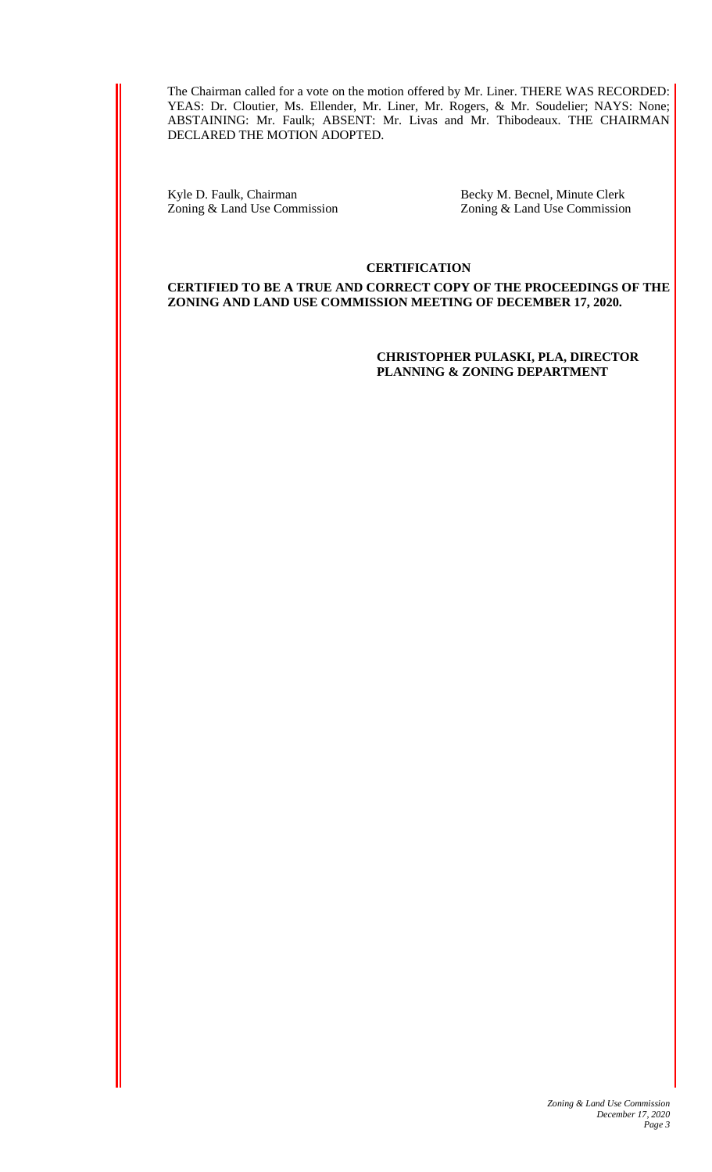The Chairman called for a vote on the motion offered by Mr. Liner. THERE WAS RECORDED: YEAS: Dr. Cloutier, Ms. Ellender, Mr. Liner, Mr. Rogers, & Mr. Soudelier; NAYS: None; ABSTAINING: Mr. Faulk; ABSENT: Mr. Livas and Mr. Thibodeaux. THE CHAIRMAN DECLARED THE MOTION ADOPTED.

Kyle D. Faulk, Chairman Becky M. Becnel, Minute Clerk<br>
Zoning & Land Use Commission <br>
Zoning & Land Use Commission

Zoning & Land Use Commission

#### **CERTIFICATION**

**CERTIFIED TO BE A TRUE AND CORRECT COPY OF THE PROCEEDINGS OF THE ZONING AND LAND USE COMMISSION MEETING OF DECEMBER 17, 2020.** 

> **CHRISTOPHER PULASKI, PLA, DIRECTOR PLANNING & ZONING DEPARTMENT**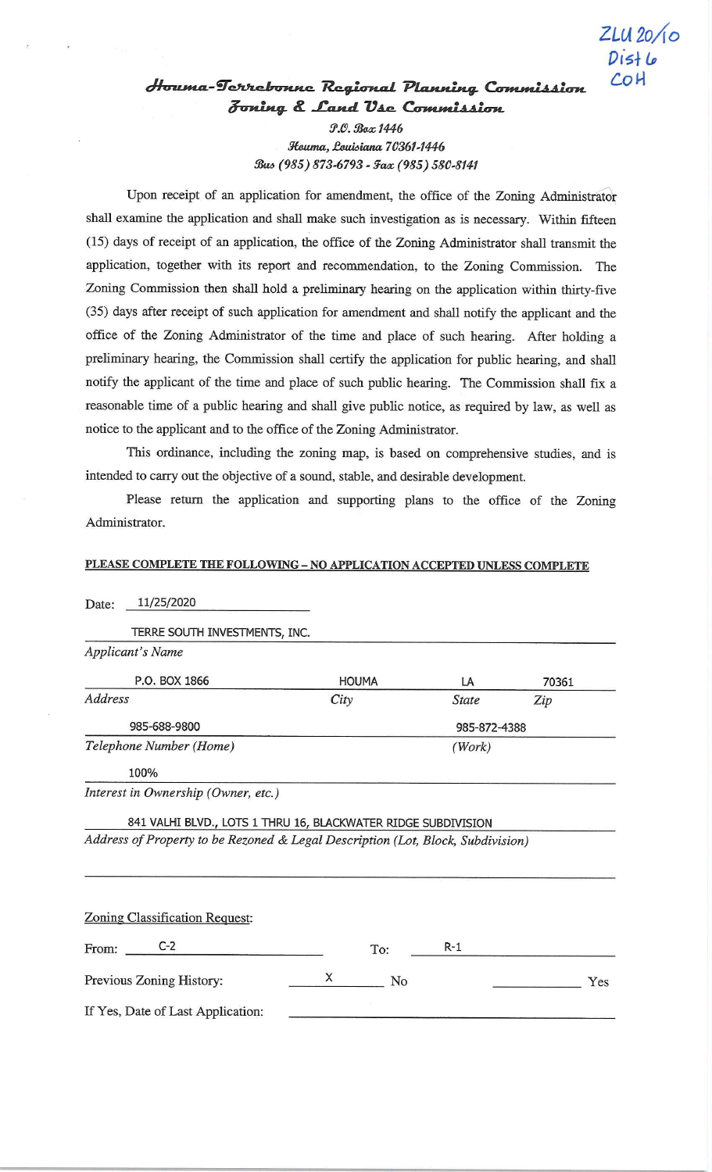# Houma-Terrebonne Regional Planning Commission Joning & Land Use Commission

 $ZLU20/10$ 

 $Dist<sub>1</sub>$ COH

P.O. Box 1446 Houma, Louisiana 70361-1446 Bus (985) 873-6793 - Fax (985) 580-8141

Upon receipt of an application for amendment, the office of the Zoning Administrator shall examine the application and shall make such investigation as is necessary. Within fifteen (15) days of receipt of an application, the office of the Zoning Administrator shall transmit the application, together with its report and recommendation, to the Zoning Commission. The Zoning Commission then shall hold a preliminary hearing on the application within thirty-five (35) days after receipt of such application for amendment and shall notify the applicant and the office of the Zoning Administrator of the time and place of such hearing. After holding a preliminary hearing, the Commission shall certify the application for public hearing, and shall notify the applicant of the time and place of such public hearing. The Commission shall fix a reasonable time of a public hearing and shall give public notice, as required by law, as well as notice to the applicant and to the office of the Zoning Administrator.

This ordinance, including the zoning map, is based on comprehensive studies, and is intended to carry out the objective of a sound, stable, and desirable development.

Please return the application and supporting plans to the office of the Zoning Administrator.

#### PLEASE COMPLETE THE FOLLOWING - NO APPLICATION ACCEPTED UNLESS COMPLETE

| 11/25/2020<br>Date:                                                             |              |              |       |
|---------------------------------------------------------------------------------|--------------|--------------|-------|
| TERRE SOUTH INVESTMENTS, INC.                                                   |              |              |       |
| <b>Applicant's Name</b>                                                         |              |              |       |
| P.O. BOX 1866                                                                   | <b>HOUMA</b> | LA           | 70361 |
| Address                                                                         | City         | <b>State</b> | Zip   |
| 985-688-9800                                                                    |              | 985-872-4388 |       |
| Telephone Number (Home)                                                         |              | (Work)       |       |
| 100%                                                                            |              |              |       |
| Interest in Ownership (Owner, etc.)                                             |              |              |       |
| 841 VALHI BLVD., LOTS 1 THRU 16, BLACKWATER RIDGE SUBDIVISION                   |              |              |       |
| Address of Property to be Rezoned & Legal Description (Lot, Block, Subdivision) |              |              |       |
|                                                                                 |              |              |       |
|                                                                                 |              |              |       |
| Zoning Classification Request:                                                  |              |              |       |
| $C-2$<br>From:                                                                  | To:          | $R-1$        |       |
| Previous Zoning History:                                                        | X<br>No      |              | Yes   |
| If Yes, Date of Last Application:                                               |              |              |       |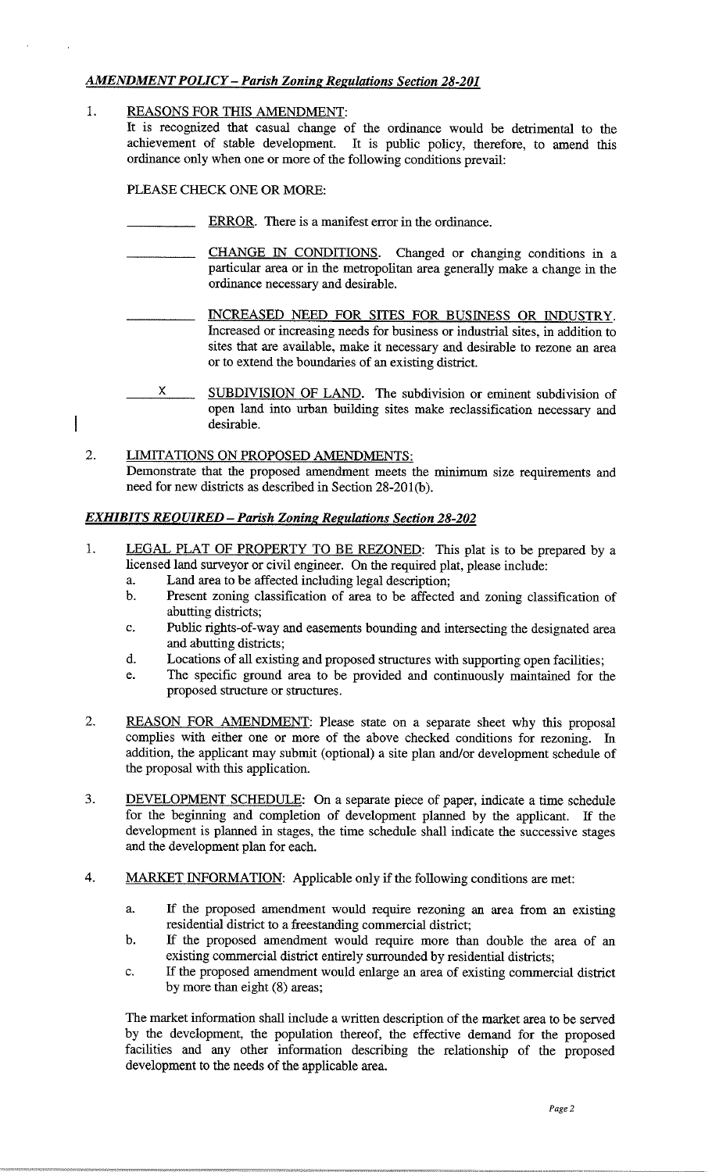#### **AMENDMENT POLICY – Parish Zoning Regulations Section 28-201**

#### 1. REASONS FOR THIS AMENDMENT:

It is recognized that casual change of the ordinance would be detrimental to the achievement of stable development. It is public policy, therefore, to amend this ordinance only when one or more of the following conditions prevail:

PLEASE CHECK ONE OR MORE:

- ERROR. There is a manifest error in the ordinance.
- CHANGE IN CONDITIONS. Changed or changing conditions in a particular area or in the metropolitan area generally make a change in the ordinance necessary and desirable.
	- INCREASED NEED FOR SITES FOR BUSINESS OR INDUSTRY. Increased or increasing needs for business or industrial sites, in addition to sites that are available, make it necessary and desirable to rezone an area or to extend the boundaries of an existing district.
- 

 $\overline{\phantom{a}}$ 

- X. SUBDIVISION OF LAND. The subdivision or eminent subdivision of open land into urban building sites make reclassification necessary and desirable.
- $2.$ LIMITATIONS ON PROPOSED AMENDMENTS: Demonstrate that the proposed amendment meets the minimum size requirements and need for new districts as described in Section 28-201(b).

#### **EXHIBITS REQUIRED - Parish Zoning Regulations Section 28-202**

- $1$ . LEGAL PLAT OF PROPERTY TO BE REZONED: This plat is to be prepared by a licensed land surveyor or civil engineer. On the required plat, please include:
	- Land area to be affected including legal description;  $\overline{a}$ .
	- $\mathbf b$ . Present zoning classification of area to be affected and zoning classification of abutting districts;
	- Public rights-of-way and easements bounding and intersecting the designated area  $\mathbf{c}$ . and abutting districts;
	- d. Locations of all existing and proposed structures with supporting open facilities;
	- The specific ground area to be provided and continuously maintained for the e. proposed structure or structures.
- 2. REASON FOR AMENDMENT: Please state on a separate sheet why this proposal complies with either one or more of the above checked conditions for rezoning. In addition, the applicant may submit (optional) a site plan and/or development schedule of the proposal with this application.
- DEVELOPMENT SCHEDULE: On a separate piece of paper, indicate a time schedule  $3.$ for the beginning and completion of development planned by the applicant. If the development is planned in stages, the time schedule shall indicate the successive stages and the development plan for each.
- $4.$ **MARKET INFORMATION:** Applicable only if the following conditions are met:
	- If the proposed amendment would require rezoning an area from an existing a. residential district to a freestanding commercial district;
	- If the proposed amendment would require more than double the area of an b. existing commercial district entirely surrounded by residential districts;
	- If the proposed amendment would enlarge an area of existing commercial district  $\mathbf{c}.$ by more than eight (8) areas;

The market information shall include a written description of the market area to be served by the development, the population thereof, the effective demand for the proposed facilities and any other information describing the relationship of the proposed development to the needs of the applicable area.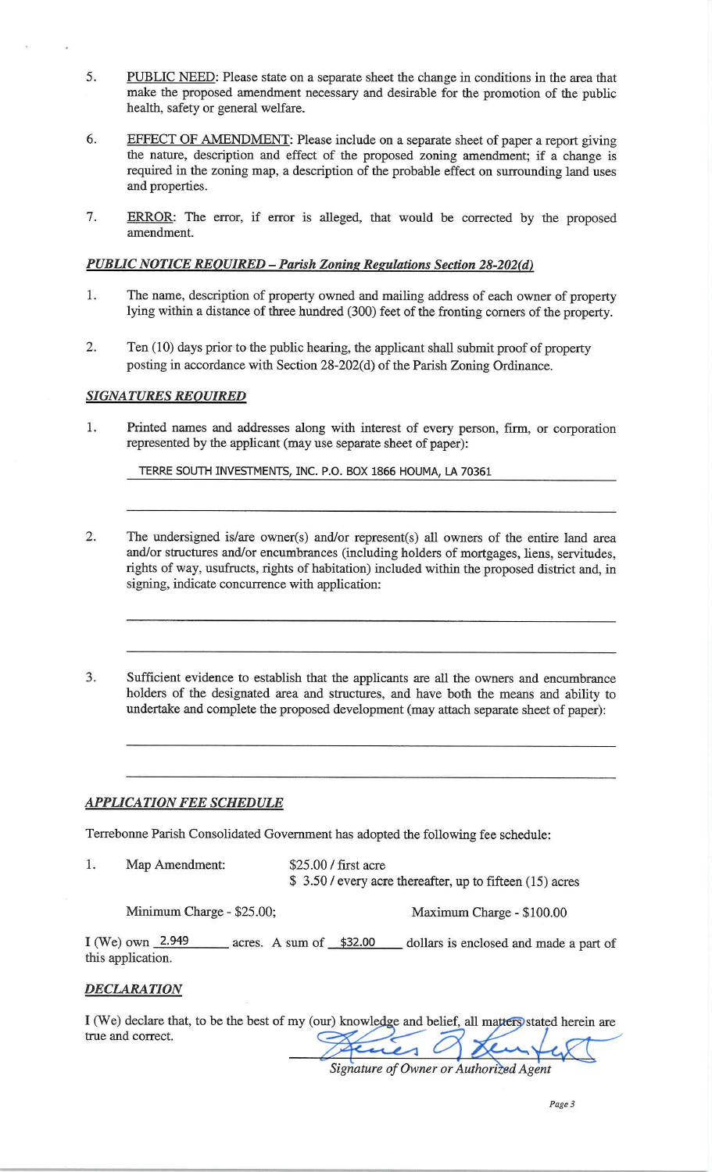- 5. PUBLIC NEED: Please state on a separate sheet the change in conditions in the area that make the proposed amendment necessary and desirable for the promotion of the public health, safety or general welfare.
- EFFECT OF AMENDMENT: Please include on a separate sheet of paper a report giving 6. the nature, description and effect of the proposed zoning amendment; if a change is required in the zoning map, a description of the probable effect on surrounding land uses and properties.
- 7. ERROR: The error, if error is alleged, that would be corrected by the proposed amendment.

#### **PUBLIC NOTICE REQUIRED - Parish Zoning Regulations Section 28-202(d)**

- 1. The name, description of property owned and mailing address of each owner of property lying within a distance of three hundred (300) feet of the fronting corners of the property.
- 2. Ten (10) days prior to the public hearing, the applicant shall submit proof of property posting in accordance with Section 28-202(d) of the Parish Zoning Ordinance.

#### **SIGNATURES REQUIRED**

Printed names and addresses along with interest of every person, firm, or corporation 1. represented by the applicant (may use separate sheet of paper):

TERRE SOUTH INVESTMENTS, INC. P.O. BOX 1866 HOUMA, LA 70361

- $\overline{2}$ . The undersigned is/are owner(s) and/or represent(s) all owners of the entire land area and/or structures and/or encumbrances (including holders of mortgages, liens, servitudes, rights of way, usufructs, rights of habitation) included within the proposed district and, in signing, indicate concurrence with application:
- 3. Sufficient evidence to establish that the applicants are all the owners and encumbrance holders of the designated area and structures, and have both the means and ability to undertake and complete the proposed development (may attach separate sheet of paper):

#### **APPLICATION FEE SCHEDULE**

Terrebonne Parish Consolidated Government has adopted the following fee schedule:

1. Map Amendment: \$25.00 / first acre \$ 3.50 / every acre thereafter, up to fifteen (15) acres

Minimum Charge - \$25.00;

Maximum Charge - \$100.00

I (We) own  $2.949$ acres. A sum of \$32.00 dollars is enclosed and made a part of this application.

#### **DECLARATION**

I (We) declare that, to be the best of my (our) knowledge and belief, all matters stated herein are true and correct.

Signature of Owner or Authorized Agent